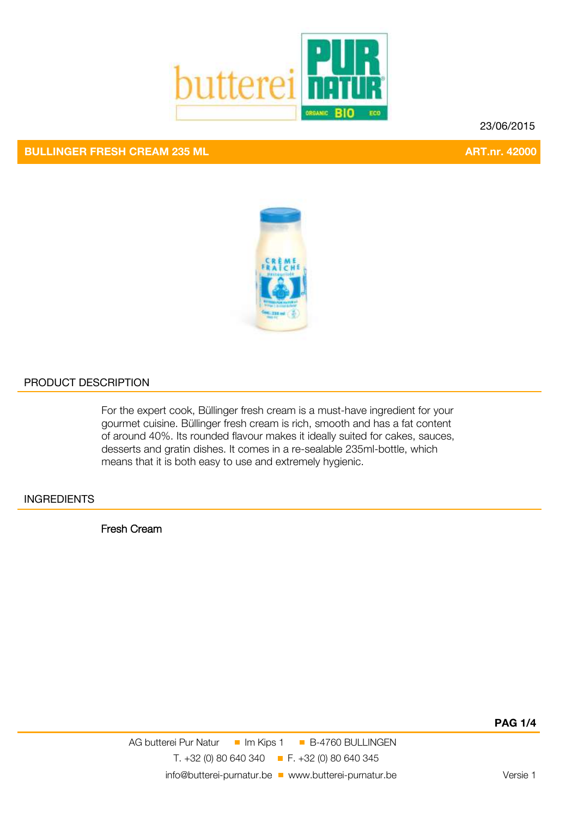

## **BULLINGER FRESH CREAM 235 ML ART.nr. 42000**

23/06/2015



#### PRODUCT DESCRIPTION

For the expert cook, Büllinger fresh cream is a must-have ingredient for your gourmet cuisine. Büllinger fresh cream is rich, smooth and has a fat content of around 40%. Its rounded flavour makes it ideally suited for cakes, sauces, desserts and gratin dishes. It comes in a re-sealable 235ml-bottle, which means that it is both easy to use and extremely hygienic.

#### **INGREDIENTS**

Fresh Cream

**PAGE 1/4**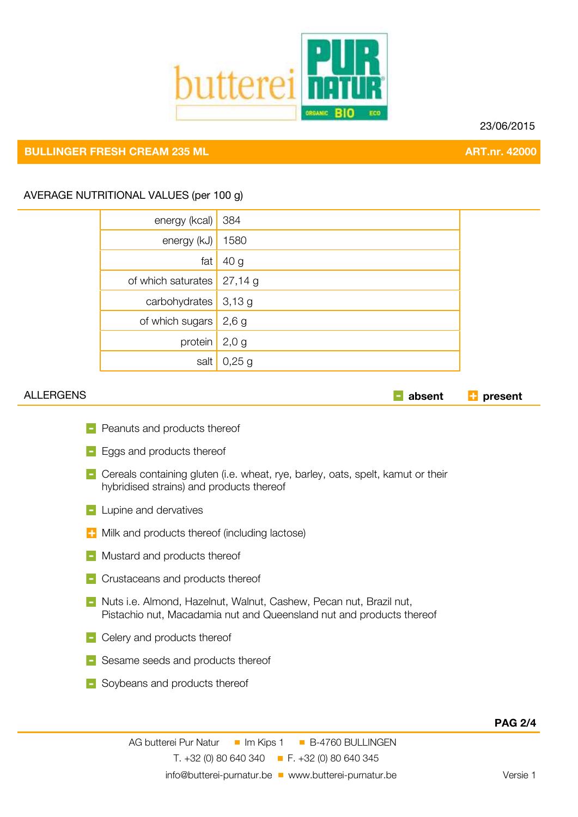

23/06/2015

# **BULLINGER FRESH CREAM 235 ML ART.nr. 42000**

### AVERAGE NUTRITIONAL VALUES (per 100 g)

| energy (kcal)      | 384             |  |
|--------------------|-----------------|--|
| energy (kJ)        | 1580            |  |
| fat                | 40 <sub>g</sub> |  |
| of which saturates | 27,14g          |  |
| carbohydrates      | 3,13g           |  |
| of which sugars    | 2,6g            |  |
| protein            | 2,0,9           |  |
| salt               | 0,25,9          |  |

ALLERGENS **absent present**

- **Peanuts and products thereof**
- **Eggs and products thereof**
- **Cereals containing gluten (i.e. wheat, rye, barley, oats, spelt, kamut or their** hybridised strains) and products thereof
- **Lupine and dervatives**
- $\blacksquare$  Milk and products thereof (including lactose)
- **Mustard and products thereof**
- **F** Crustaceans and products thereof
- **Nuts i.e. Almond, Hazelnut, Walnut, Cashew, Pecan nut, Brazil nut,** Pistachio nut, Macadamia nut and Queensland nut and products thereof
- **-** Celery and products thereof
- Sesame seeds and products thereof
- Soybeans and products thereof

#### **PAG 2/4 PAG 2/4**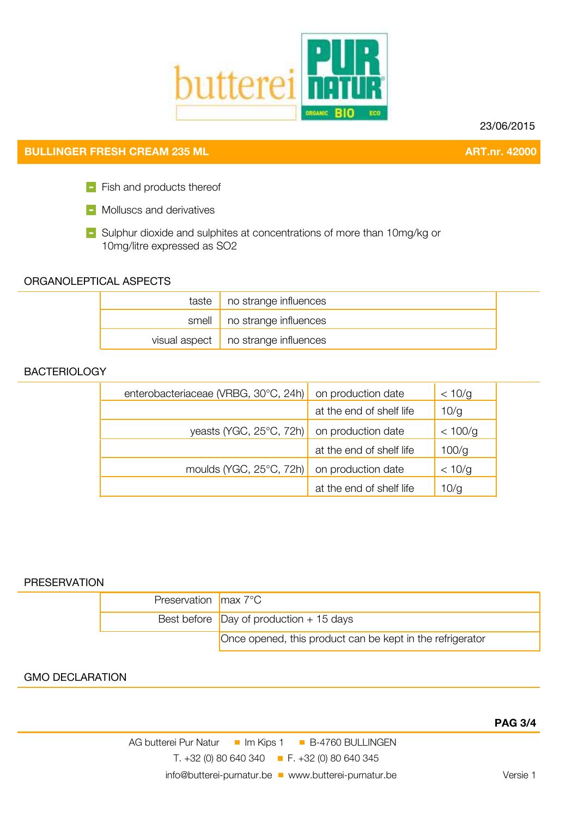

23/06/2015

# **BULLINGER FRESH CREAM 235 ML ART.nr. 42000**

Fish and products thereof

**Nolluscs and derivatives** 

Sulphur dioxide and sulphites at concentrations of more than 10mg/kg or 10mg/litre expressed as SO2

#### ORGANOLEPTICAL ASPECTS

|  | taste $\vert$ no strange influences         |
|--|---------------------------------------------|
|  | smell   no strange influences               |
|  | visual aspect $\vert$ no strange influences |

#### **BACTERIOLOGY**

| enterobacteriaceae (VRBG, 30°C, 24h) | on production date       | < 10/g  |
|--------------------------------------|--------------------------|---------|
|                                      | at the end of shelf life | 10/g    |
| yeasts (YGC, 25°C, 72h)              | on production date       | < 100/g |
|                                      | at the end of shelf life | 100/g   |
| moulds (YGC, $25^{\circ}$ C, 72h)    | on production date       | < 10/g  |
|                                      | at the end of shelf life | 10/q    |

#### **PRESERVATION**

| Preservation $\frac{1}{2}$ max 7°C              |                                                           |
|-------------------------------------------------|-----------------------------------------------------------|
| Best before $\vert$ Day of production + 15 days |                                                           |
|                                                 | Once opened, this product can be kept in the refrigerator |

### GMO DECLARATION

AG butterei Pur Natur II Im Kips 1 B-4760 BULLINGEN T. +32 (0) 80 640 340 F. +32 (0) 80 640 345 info@butterei-purnatur.be www.butterei-purnatur.be versie 1

## **PAGE 3/4**